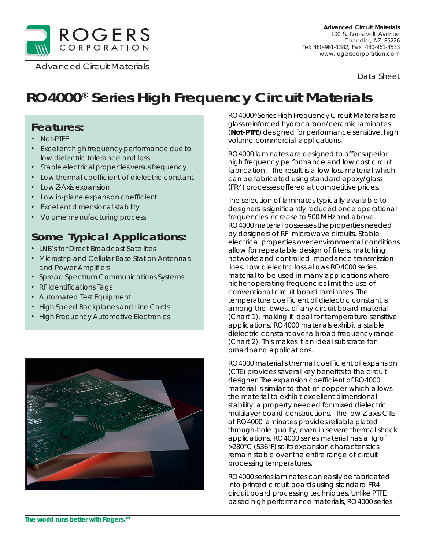

*Data Sheet*

# **RO4000® Series High Frequency Circuit Materials**

### **Features:**

- Not-PTFE
- Excellent high frequency performance due to low dielectric tolerance and loss
- Stable electrical properties versus frequency
- Low thermal coefficient of dielectric constant
- Low Z-Axis expansion
- Low in-plane expansion coefficient
- Excellent dimensional stability
- Volume manufacturing process

## **Some Typical Applications:**

- LNB's for Direct Broadcast Satellites
- Microstrip and Cellular Base Station Antennas and Power Amplifiers
- Spread Spectrum Communications Systems
- RF Identifications Tags
- Automated Test Equipment
- High Speed Backplanes and Line Cards
- High Frequency Automotive Electronics



RO4000® Series High Frequency Circuit Materials are glass reinforced hydrocarbon/ceramic laminates (**Not-PTFE**) designed for performance sensitive, high volume commercial applications.

RO4000 laminates are designed to offer superior high frequency performance and low cost circuit fabrication. The result is a low loss material which can be fabricated using standard epoxy/glass (FR4) processes offered at competitive prices.

The selection of laminates typically available to designers is significantly reduced once operational frequencies increase to 500 MHz and above. RO4000 material possesses the properties needed by designers of RF microwave circuits. Stable electrical properties over environmental conditions allow for repeatable design of filters, matching networks and controlled impedance transmission lines. Low dielectric loss allows RO4000 series material to be used in many applications where higher operating frequencies limit the use of conventional circuit board laminates. The temperature coefficient of dielectric constant is among the lowest of any circuit board material (Chart 1), making it ideal for temperature sensitive applications. RO4000 materials exhibit a stable dielectric constant over a broad frequency range (Chart 2). This makes it an ideal substrate for broadband applications.

RO4000 material's thermal coefficient of expansion (CTE) provides several key benefits to the circuit designer. The expansion coefficient of RO4000 material is similar to that of copper which allows the material to exhibit excellent dimensional stability, a property needed for mixed dielectric multilayer board constructions. The low Z-axis CTE of RO4000 laminates provides reliable plated through-hole quality, even in severe thermal shock applications. RO4000 series material has a Tg of >280°C (536°F) so its expansion characteristics remain stable over the entire range of circuit processing temperatures.

RO4000 series laminates can easily be fabricated into printed circuit boards using standard FR4 circuit board processing techniques. Unlike PTFE based high performance materials, RO4000 series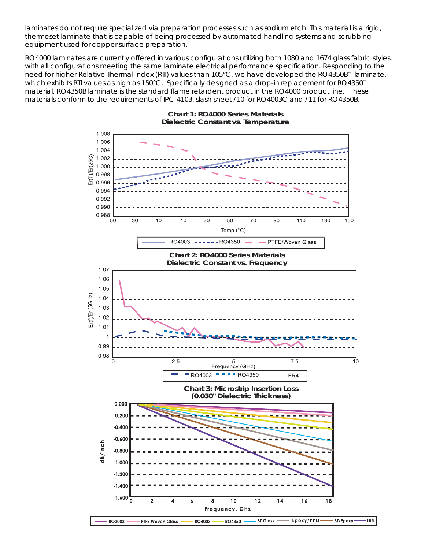laminates do not require specialized via preparation processes such as sodium etch. This material is a rigid, thermoset laminate that is capable of being processed by automated handling systems and scrubbing equipment used for copper surface preparation.

RO4000 laminates are currently offered in various configurations utilizing both 1080 and 1674 glass fabric styles, with all configurations meeting the same laminate electrical performance specification. Responding to the need for higher Relative Thermal Index (RTI) values than 105°C, we have developed the RO4350B™ laminate, which exhibits RTI values as high as 150°C. Specifically designed as a drop-in replacement for RO4350<sup>™</sup> material, RO4350B laminate is the standard flame retardent product in the RO4000 product line. These materials conform to the requirements of IPC-4103, slash sheet /10 for RO4003C and /11 for RO4350B.



FR4

#### **Chart 1: RO4000 Series Materials Dielectric Constant vs. Temperature**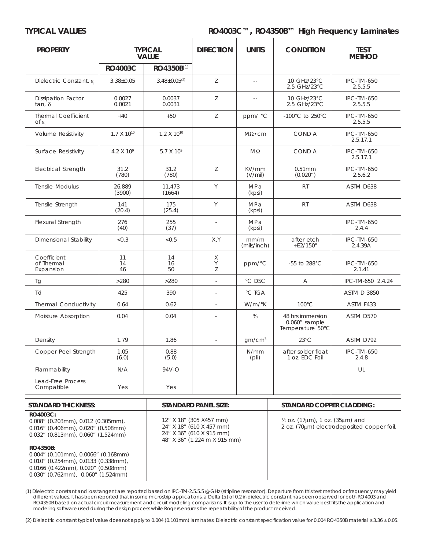### **TYPICAL VALUES RO4003C™, RO4350B™ High Frequency Laminates**

| <b>PROPERTY</b><br><b>TYPICAL</b><br><b>VALUE</b> |                       | <b>DIRECTION</b>      | <b>UNITS</b>   | <b>CONDITION</b>     | <b>TEST</b><br><b>METHOD</b>                            |                               |
|---------------------------------------------------|-----------------------|-----------------------|----------------|----------------------|---------------------------------------------------------|-------------------------------|
|                                                   | <b>RO4003C</b>        | RO4350B(1)            |                |                      |                                                         |                               |
| Dielectric Constant, $\varepsilon$                | $3.38 \pm 0.05$       | $3.48 \pm 0.05^{(2)}$ | Z              | $\omega$ $\omega$    | 10 GHz/23°C<br>2.5 GHz/23°C                             | <b>IPC-TM-650</b><br>2.5.5.5  |
| <b>Dissipation Factor</b><br>tan, $\delta$        | 0.0027<br>0.0021      | 0.0037<br>0.0031      | Z              | $\sim$ $\sim$        | 10 GHz/23°C<br>2.5 GHz/23°C                             | <b>IPC-TM-650</b><br>2.5.5.5  |
| <b>Thermal Coefficient</b><br>of ε $_{\rm c}$     | $+40$                 | $+50$                 | Z              | ppm/ °C              | $-100^{\circ}$ C to 250 $^{\circ}$ C                    | <b>IPC-TM-650</b><br>2.5.5.5  |
| <b>Volume Resistivity</b>                         | $1.7 \times 10^{10}$  | $1.2 \times 10^{10}$  |                | $M\Omega \bullet cm$ | COND A                                                  | <b>IPC-TM-650</b><br>2.5.17.1 |
| Surface Resistivity                               | 4.2 X 10 <sup>9</sup> | 5.7 X 10 <sup>9</sup> |                | $M\Omega$            | COND A                                                  | <b>IPC-TM-650</b><br>2.5.17.1 |
| <b>Electrical Strength</b>                        | 31.2<br>(780)         | 31.2<br>(780)         | Z              | KV/mm<br>(V/mil)     | 0.51mm<br>(0.020")                                      | <b>IPC-TM-650</b><br>2.5.6.2  |
| Tensile Modulus                                   | 26,889<br>(3900)      | 11,473<br>(1664)      | Y              | MPa<br>(kpsi)        | <b>RT</b>                                               | ASTM D638                     |
| Tensile Strength                                  | 141<br>(20.4)         | 175<br>(25.4)         | Y              | MPa<br>(kpsi)        | <b>RT</b>                                               | ASTM D638                     |
| Flexural Strength                                 | 276<br>(40)           | 255<br>(37)           | $\sim$         | MPa<br>(kpsi)        |                                                         | <b>IPC-TM-650</b><br>2.4.4    |
| Dimensional Stability                             | < 0.3                 | < 0.5                 | X, Y           | mm/m<br>(mils/inch)  | after etch<br>$+E2/150^\circ$                           | <b>IPC-TM-650</b><br>2.4.39A  |
| Coefficient<br>of Thermal<br>Expansion            | 11<br>14<br>46        | 14<br>16<br>50        | Χ<br>Υ<br>Z    | $ppm$ / $^{\circ}$ C | -55 to 288°C                                            | <b>IPC-TM-650</b><br>2.1.41   |
| Tg                                                | >280                  | >280                  | $\sim$         | °C DSC               | A                                                       | IPC-TM-650 2.4.24             |
| Td                                                | 425                   | 390                   | $\sim$         | °C TGA               |                                                         | <b>ASTM D 3850</b>            |
| <b>Thermal Conductivity</b>                       | 0.64                  | 0.62                  | $\overline{a}$ | $W/m$ / $K$          | $100^{\circ}$ C                                         | ASTM F433                     |
| Moisture Absorption                               | 0.04                  | 0.04                  |                | %                    | 48 hrs immersion<br>$0.060"$ sample<br>Temperature 50°C | ASTM D570                     |
| Density                                           | 1.79                  | 1.86                  | $\overline{a}$ | gm/cm <sup>3</sup>   | $23^{\circ}$ C                                          | ASTM D792                     |
| Copper Peel Strength                              | 1.05<br>(6.0)         | 0.88<br>(5.0)         |                | N/mm<br>(pli)        | after solder float<br>1 oz. EDC Foil                    | <b>IPC-TM-650</b><br>2.4.8    |
| Flammability                                      | N/A                   | 94V-O                 |                |                      |                                                         | UL                            |
| Lead-Free Process<br>Compatible                   | Yes                   | Yes                   |                |                      |                                                         |                               |

| STANDARD THICKNESS:                                                                                                                 | STANDARD PANEL SIZE:                                                                                            | STANDARD COPPER CLADDING:                                                                |  |
|-------------------------------------------------------------------------------------------------------------------------------------|-----------------------------------------------------------------------------------------------------------------|------------------------------------------------------------------------------------------|--|
| RO4003C:<br>$0.008''$ (0.203mm), 0.012 (0.305mm),<br>$0.016$ " (0.406mm), 0.020" (0.508mm)<br>$0.032$ " (0.813mm), 0.060" (1.524mm) | 12" X 18" (305 X457 mm)<br>24" X 18" (610 X 457 mm)<br>24" X 36" (610 X 915 mm)<br>48" X 36" (1.224 m X 915 mm) | $\frac{1}{2}$ oz. (17µm), 1 oz. (35µm) and<br>2 oz. (70um) electrodeposited copper foil. |  |
| RO4350B:                                                                                                                            |                                                                                                                 |                                                                                          |  |
| $0.004''$ (0.101mm), 0.0066" (0.168mm)                                                                                              |                                                                                                                 |                                                                                          |  |
| $0.010''$ (0.254mm), 0.0133 (0.338mm),                                                                                              |                                                                                                                 |                                                                                          |  |
| 0.0166 (0.422mm), 0.020" (0.508mm)                                                                                                  |                                                                                                                 |                                                                                          |  |
| $0.030''$ (0.762mm), 0.060" (1.524mm)                                                                                               |                                                                                                                 |                                                                                          |  |

(1) Dielectric constant and loss tangent are reported based on IPC-TM-2.5.5.5 @ GHz (stripline resonator). Departure from this test method or frequency may yield different values. It has been reported that in some microstrip applications, a Delta (∆) of 0.2 in dielectric constant has been observed for both RO4003 and RO4350B based on actual circuit measurement and circuit modeling comparisons. It is up to the user to deterime which value best fits the application and modeling software used during the design process while Rogers ensures the repeatability of the product received.

(2) Dielectric constant typical value does not apply to 0.004 (0.101mm) laminates. Dielectric constant specification value for 0.004 RO4350B material is 3.36 ± 0.05.